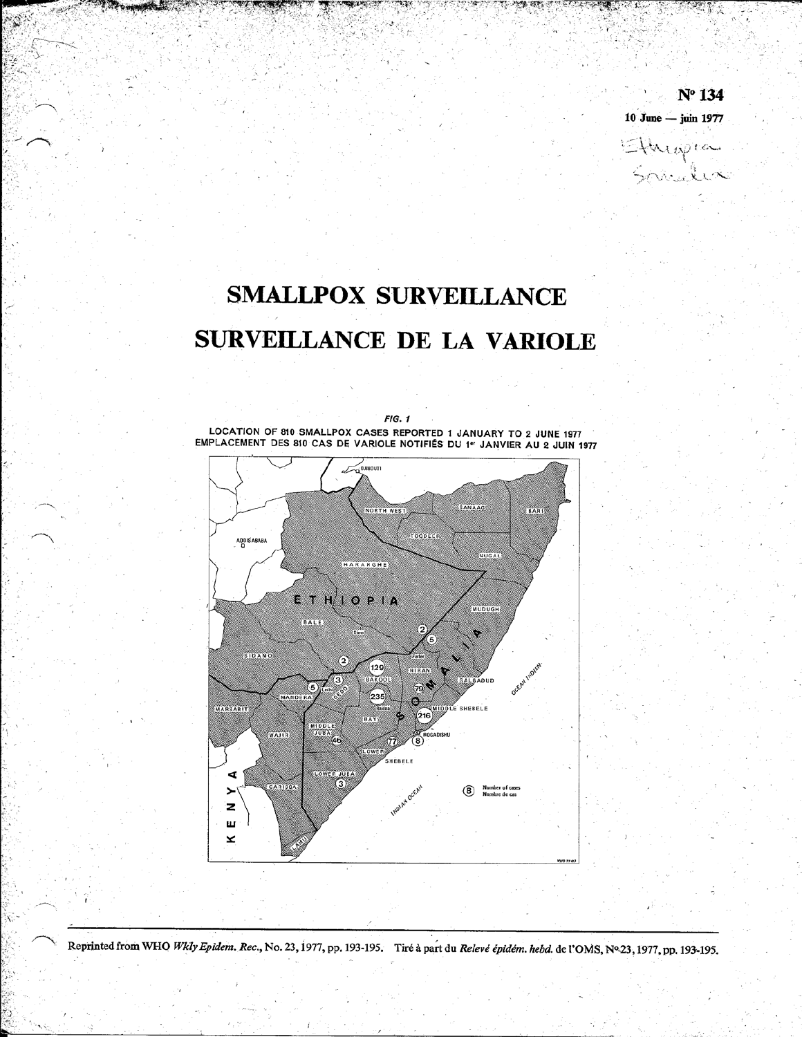

# **SMALLPOX SURVEILLANCE** SURVEILLANCE DE LA VARIOLE

 $\mathbf{v}$ 



FIG. 1 LOCATION OF 810 SMALLPOX CASES REPORTED 1 JANUARY TO 2 JUNE 1977 EMPLACEMENT DES 810 CAS DE VARIOLE NOTIFIÉS DU 1er JANVIER AU 2 JUIN 1977

Reprinted from WHO Wkly Epidem. Rec., No. 23, 1977, pp. 193-195. Tiré à part du Relevé épidém. hebd. de l'OMS, Nº23, 1977, pp. 193-195.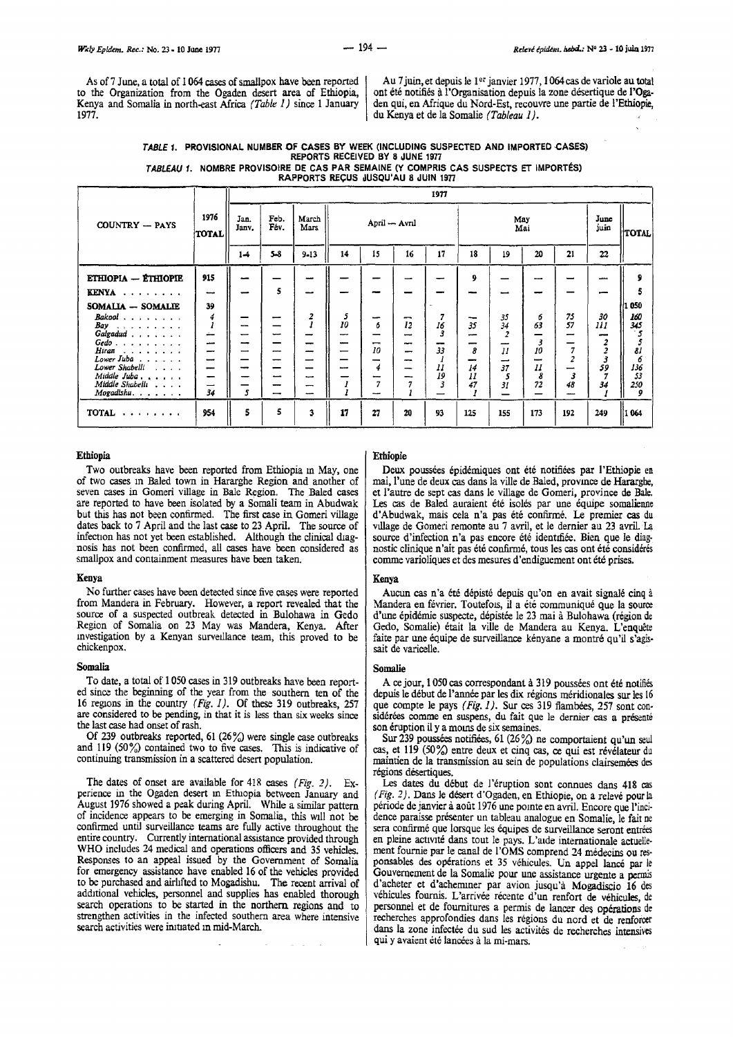As of 7 June, a total of 1064 cases of smallpox have been reported to the Organization from the Ogaden desert area of Ethiopia, Kenya and Somalia in north-east Africa (Table 1) since 1 January  $1977$ 

Au 7 juin, et depuis le 1er janvier 1977, 1064 cas de variole au total ont été notifiés à l'Organisation depuis la zone désertique de l'Ogaden qui, en Afrique du Nord-Est, recouvre une partie de l'Ethiopie, du Kenya et de la Somalie (Tableau 1).

#### TABLE 1. PROVISIONAL NUMBER OF CASES BY WEEK (INCLUDING SUSPECTED AND IMPORTED CASES) REPORTS RECEIVED BY 8 JUNE 1977 TABLEAU 1. NOMBRE PROVISOIRE DE CAS PAR SEMAINE (Y COMPRIS CAS SUSPECTS ET IMPORTÉS)

RAPPORTS RECUS JUSQU'AU 8 JUIN 1977

|                                                   |                      | 1977          |                          |                          |    |               |         |          |          |                |              |                |                         |            |
|---------------------------------------------------|----------------------|---------------|--------------------------|--------------------------|----|---------------|---------|----------|----------|----------------|--------------|----------------|-------------------------|------------|
| COUNTRY - PAYS                                    | 1976<br><b>TOTAL</b> | Jan.<br>Јапу, | Feb.<br>Fév.             | March<br>Mars            |    | April - Avril |         |          |          | May<br>Mai     | June<br>juin | <b>TOTAL</b>   |                         |            |
|                                                   |                      | 14            | $5 - 8$                  | $9 - 13$                 | 14 | 15            | 16      | 17       | 18       | 19             | 20           | 21             | 22                      |            |
| ETHIOPIA - ÉTHIOPIE                               | 915                  |               |                          |                          |    |               |         |          | 9        |                |              |                | ---                     |            |
| KENYA                                             | ---                  |               | 5                        | --                       |    |               |         |          |          |                |              |                |                         |            |
| SOMALIA - SOMALIE                                 | 39                   |               |                          |                          |    |               |         |          |          |                |              |                |                         | 1 050      |
| $Bakool$<br>Bay $\cdots$ $\cdots$                 | 4                    |               |                          | 2<br>Ï                   | 10 | 6             | -<br>12 | 16       | ⊸<br>35  | 35<br>34       | 6<br>63      | 75<br>57       | 30<br>111               | 160<br>345 |
| Galgadud                                          | ∸–                   |               |                          |                          |    |               |         |          |          | $\overline{2}$ |              |                |                         |            |
| $G$ edo<br>Hiran<br><b><i>Charles Alberta</i></b> | وبمصب<br>-           | --            |                          | --                       | -- | --<br>10      | --      | 33       | 8        | $_{II}$        | 10           | $\overline{7}$ | $\overline{\mathbf{z}}$ | $\delta l$ |
| Lower Juba $\ldots$                               | -                    |               |                          | -                        |    |               |         |          |          | -              |              |                | 3                       | o          |
| Lower Shabelli<br>$Middle$ $Juba$ , , , , ,       | -                    |               |                          |                          |    | 4             |         | 11<br>19 | 14<br>11 | 37             | $_{11}$<br>8 | 3              | 59<br>7                 | 136<br>53  |
| Middle Shabelli                                   | -                    |               | $\overline{\phantom{a}}$ | $\overline{\phantom{a}}$ |    | 7             |         |          | 47       | 31             | 72           | 48             | 34                      | 250        |
| Mogadishu.                                        | 34                   | 5             | $\overline{\phantom{a}}$ | --                       |    |               |         |          |          |                |              |                |                         | 9          |
| $TOTAL \ldots \ldots$                             | 954                  | 5             | 5                        | 3                        | 17 | 27            | 20      | 93       | 125      | 155            | 173          | 192            | 249                     | 1 064      |

## Ethiopia

Two outbreaks have been reported from Ethiopia in May, one of two cases in Baled town in Hararghe Region and another of seven cases in Gomeri village in Bale Region. The Baled cases are reported to have been isolated by a Somali team in Abudwak but this has not been confirmed. The first case in Gomeri village dates back to 7 April and the last case to 23 April. The source of infection has not yet been established. Although the clinical diagnosis has not been confirmed, all cases have been considered as smallpox and containment measures have been taken.

#### Kenva

No further cases have been detected since five cases were reported from Mandera in February. However, a report revealed that the source of a suspected outbreak detected in Bulohawa in Gedo Region of Somalia on 23 May was Mandera, Kenya. After investigation by a Kenyan surveillance team, this proved to be chickenpox.

#### Somalia

To date, a total of 1050 cases in 319 outbreaks have been reported since the beginning of the year from the southern ten of the 16 regions in the country (Fig. 1). Of these 319 outbreaks, 257 are considered to be pending, in that it is less than six weeks since the last case had onset of rash.

Of 239 outbreaks reported, 61 (26%) were single case outbreaks and 119 (50%) contained two to five cases. This is indicative of continuing transmission in a scattered desert population.

The dates of onset are available for 418 cases (Fig. 2). Experience in the Ogaden desert in Ethiopia between January and August 1976 showed a peak during April. While a similar pattern of incidence appears to be emerging in Somalia, this will not be confirmed until surveillance teams are fully active throughout the entire country. Currently international assistance provided through<br>WHO includes 24 medical and operations officers and 35 vehicles. Responses to an appeal issued by the Government of Somalia for emergency assistance have enabled 16 of the vehicles provided to be purchased and airlifted to Mogadishu. The recent arrival of additional vehicles, personnel and supplies has enabled thorough search operations to be started in the northern regions and to strengthen activities in the infected southern area where intensive search activities were initiated in mid-March.

#### **Ethiopie**

Deux poussées épidémiques ont été notifiées par l'Ethiopie en mai. l'une de deux cas dans la ville de Baled, province de Hararghe, et l'autre de sept cas dans le village de Gomeri, province de Bale. Les cas de Baled auraient été isolés par une équipe somalienne d'Abudwak, mais cela n'a pas été confirmé. Le premier cas du village de Gomeri remonte au 7 avril, et le dernier au 23 avril. La source d'infection n'a pas encore été identifiée. Bien que le diagnostic clinique n'ait pas été confirmé, tous les cas ont été considérés comme varioliques et des mesures d'endiguement ont été prises.

#### Kenva

Aucun cas n'a été dépisté depuis qu'on en avait signalé cinq à Mandera en février. Toutefois, il a été communiqué que la source d'une épidémie suspecte, dépistée le 23 mai à Bulohawa (région de Gedo, Somalie) était la ville de Mandera au Kenya. L'enquête faite par une équipe de surveillance kényane a montré qu'il s'agissait de varicelle.

### Somalie

A ce jour, 1 050 cas correspondant à 319 poussées ont été notifiés depuis le début de l'année par les dix régions méridionales sur les 16 que compte le pays (Fig. 1). Sur ces 319 flambées, 257 sont considérées comme en suspens, du fait que le dernier cas a présenté son éruption il y a moins de six semaines.

Sur 239 poussées notifiées, 61 (26%) ne comportaient qu'un seul cas, et 119 (50%) entre deux et cinq cas, ce qui est révélateur du maintien de la transmission au sein de populations clairsemées des régions désertiques.

Les dates du début de l'éruption sont connues dans 418 cas (Fig. 2). Dans le désert d'Ogaden, en Ethiopie, on a relevé pour la période de janvier à août 1976 une pointe en avril. Encore que l'incidence paraisse présenter un tableau analogue en Somalie, le fait ne sera confirmé que lorsque les équipes de surveillance seront entrées en pleine activité dans tout le pays. L'aide internationale actuellement fournie par le canal de l'OMS comprend 24 médecins ou responsables des opérations et 35 véhicules. Un appel lancé par le Gouvernement de la Somalie pour une assistance urgente a permis d'acheter et d'acheminer par avion jusqu'à Mogadiscio 16 des véhicules fournis. L'arrivée récente d'un renfort de véhicules, de personnel et de fournitures a permis de lancer des opérations de recherches approfondies dans les régions du nord et de renforcer dans la zone infectée du sud les activités de recherches intensives qui y avaient été lancées à la mi-mars.